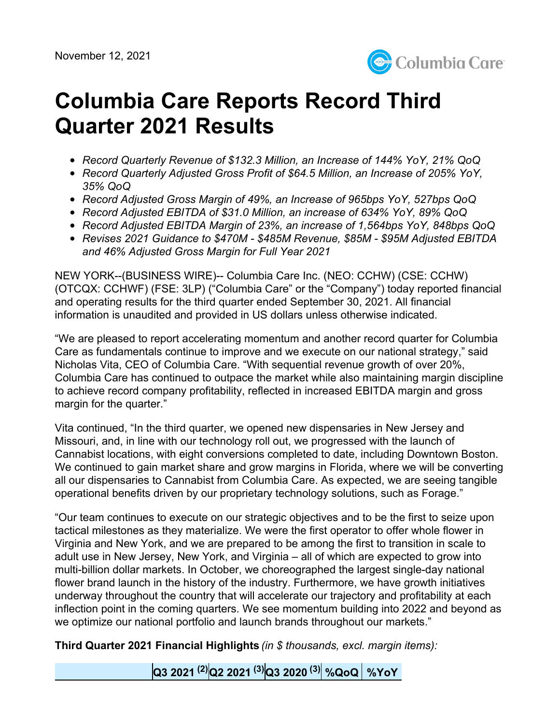

# **Columbia Care Reports Record Third Quarter 2021 Results**

- *Record Quarterly Revenue of \$132.3 Million, an Increase of 144% YoY, 21% QoQ*
- *Record Quarterly Adjusted Gross Profit of \$64.5 Million, an Increase of 205% YoY, 35% QoQ*
- *Record Adjusted Gross Margin of 49%, an Increase of 965bps YoY, 527bps QoQ*
- *Record Adjusted EBITDA of \$31.0 Million, an increase of 634% YoY, 89% QoQ*
- *Record Adjusted EBITDA Margin of 23%, an increase of 1,564bps YoY, 848bps QoQ*
- *Revises 2021 Guidance to \$470M - \$485M Revenue, \$85M - \$95M Adjusted EBITDA and 46% Adjusted Gross Margin for Full Year 2021*

NEW YORK--(BUSINESS WIRE)-- Columbia Care Inc. (NEO: CCHW) (CSE: CCHW) (OTCQX: CCHWF) (FSE: 3LP) ("Columbia Care" or the "Company") today reported financial and operating results for the third quarter ended September 30, 2021. All financial information is unaudited and provided in US dollars unless otherwise indicated.

"We are pleased to report accelerating momentum and another record quarter for Columbia Care as fundamentals continue to improve and we execute on our national strategy," said Nicholas Vita, CEO of Columbia Care. "With sequential revenue growth of over 20%, Columbia Care has continued to outpace the market while also maintaining margin discipline to achieve record company profitability, reflected in increased EBITDA margin and gross margin for the quarter."

Vita continued, "In the third quarter, we opened new dispensaries in New Jersey and Missouri, and, in line with our technology roll out, we progressed with the launch of Cannabist locations, with eight conversions completed to date, including Downtown Boston. We continued to gain market share and grow margins in Florida, where we will be converting all our dispensaries to Cannabist from Columbia Care. As expected, we are seeing tangible operational benefits driven by our proprietary technology solutions, such as Forage."

"Our team continues to execute on our strategic objectives and to be the first to seize upon tactical milestones as they materialize. We were the first operator to offer whole flower in Virginia and New York, and we are prepared to be among the first to transition in scale to adult use in New Jersey, New York, and Virginia – all of which are expected to grow into multi-billion dollar markets. In October, we choreographed the largest single-day national flower brand launch in the history of the industry. Furthermore, we have growth initiatives underway throughout the country that will accelerate our trajectory and profitability at each inflection point in the coming quarters. We see momentum building into 2022 and beyond as we optimize our national portfolio and launch brands throughout our markets."

**Third Quarter 2021 Financial Highlights** *(in \$ thousands, excl. margin items):*

**Q3 2021 (2)Q2 2021 (3)Q3 2020 (3) %QoQ %YoY**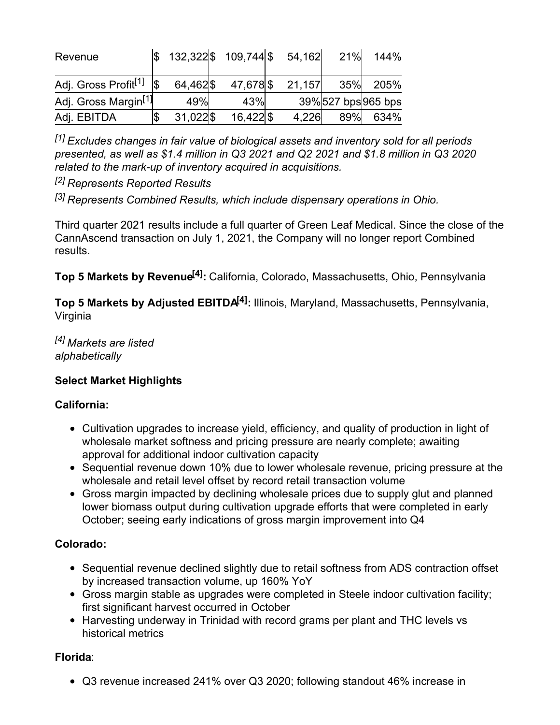| Revenue                            |           | $132,322$ \$ $109,744$ \$ | 54,162 | 21% | 144%                |
|------------------------------------|-----------|---------------------------|--------|-----|---------------------|
| Adj. Gross Profit <sup>[1]</sup> S | 64,462 \$ | 47,678 \$                 | 21,157 | 35% | 205%                |
| Adj. Gross Margin <sup>[1]</sup>   | 49%       | 43%                       |        |     | 39% 527 bps 965 bps |
| Adj. EBITDA                        | 31,022 \$ | 16,422 \$                 | 4.226  | 89% | 634%                |

*[1] Excludes changes in fair value of biological assets and inventory sold for all periods presented, as well as \$1.4 million in Q3 2021 and Q2 2021 and \$1.8 million in Q3 2020 related to the mark-up of inventory acquired in acquisitions.*

*[2] Represents Reported Results*

*[3] Represents Combined Results, which include dispensary operations in Ohio.*

Third quarter 2021 results include a full quarter of Green Leaf Medical. Since the close of the CannAscend transaction on July 1, 2021, the Company will no longer report Combined results.

**Top 5 Markets by Revenue [4] :** California, Colorado, Massachusetts, Ohio, Pennsylvania

**Top 5 Markets by Adjusted EBITDA [4] :** Illinois, Maryland, Massachusetts, Pennsylvania, Virginia

*[4] Markets are listed alphabetically*

# **Select Market Highlights**

# **California:**

- Cultivation upgrades to increase yield, efficiency, and quality of production in light of wholesale market softness and pricing pressure are nearly complete; awaiting approval for additional indoor cultivation capacity
- Sequential revenue down 10% due to lower wholesale revenue, pricing pressure at the wholesale and retail level offset by record retail transaction volume
- Gross margin impacted by declining wholesale prices due to supply glut and planned lower biomass output during cultivation upgrade efforts that were completed in early October; seeing early indications of gross margin improvement into Q4

# **Colorado:**

- Sequential revenue declined slightly due to retail softness from ADS contraction offset by increased transaction volume, up 160% YoY
- Gross margin stable as upgrades were completed in Steele indoor cultivation facility; first significant harvest occurred in October
- Harvesting underway in Trinidad with record grams per plant and THC levels vs historical metrics

# **Florida**:

Q3 revenue increased 241% over Q3 2020; following standout 46% increase in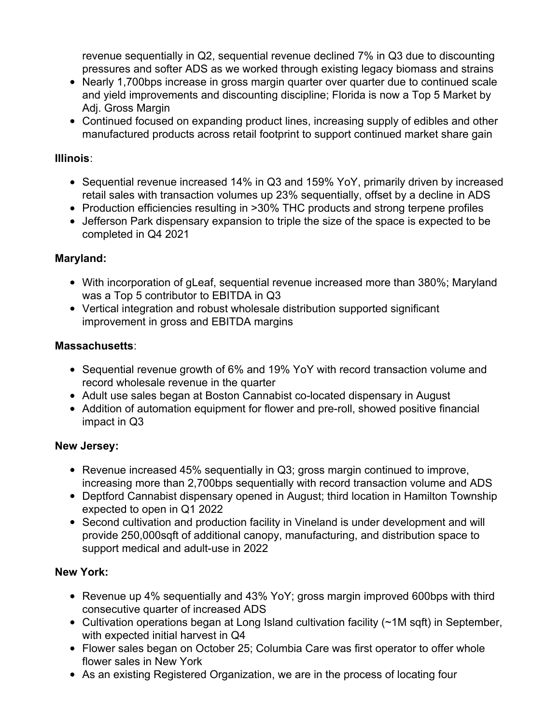revenue sequentially in Q2, sequential revenue declined 7% in Q3 due to discounting pressures and softer ADS as we worked through existing legacy biomass and strains

- Nearly 1,700bps increase in gross margin quarter over quarter due to continued scale and yield improvements and discounting discipline; Florida is now a Top 5 Market by Adi. Gross Margin
- Continued focused on expanding product lines, increasing supply of edibles and other manufactured products across retail footprint to support continued market share gain

#### **Illinois**:

- Sequential revenue increased 14% in Q3 and 159% YoY, primarily driven by increased retail sales with transaction volumes up 23% sequentially, offset by a decline in ADS
- Production efficiencies resulting in >30% THC products and strong terpene profiles
- Jefferson Park dispensary expansion to triple the size of the space is expected to be completed in Q4 2021

#### **Maryland:**

- With incorporation of gLeaf, sequential revenue increased more than 380%; Maryland was a Top 5 contributor to EBITDA in Q3
- Vertical integration and robust wholesale distribution supported significant improvement in gross and EBITDA margins

#### **Massachusetts**:

- Sequential revenue growth of 6% and 19% YoY with record transaction volume and record wholesale revenue in the quarter
- Adult use sales began at Boston Cannabist co-located dispensary in August
- Addition of automation equipment for flower and pre-roll, showed positive financial impact in Q3

# **New Jersey:**

- Revenue increased 45% sequentially in Q3; gross margin continued to improve, increasing more than 2,700bps sequentially with record transaction volume and ADS
- Deptford Cannabist dispensary opened in August; third location in Hamilton Township expected to open in Q1 2022
- Second cultivation and production facility in Vineland is under development and will provide 250,000sqft of additional canopy, manufacturing, and distribution space to support medical and adult-use in 2022

# **New York:**

- Revenue up 4% sequentially and 43% YoY; gross margin improved 600bps with third consecutive quarter of increased ADS
- Cultivation operations began at Long Island cultivation facility (~1M sqft) in September, with expected initial harvest in Q4
- Flower sales began on October 25; Columbia Care was first operator to offer whole flower sales in New York
- As an existing Registered Organization, we are in the process of locating four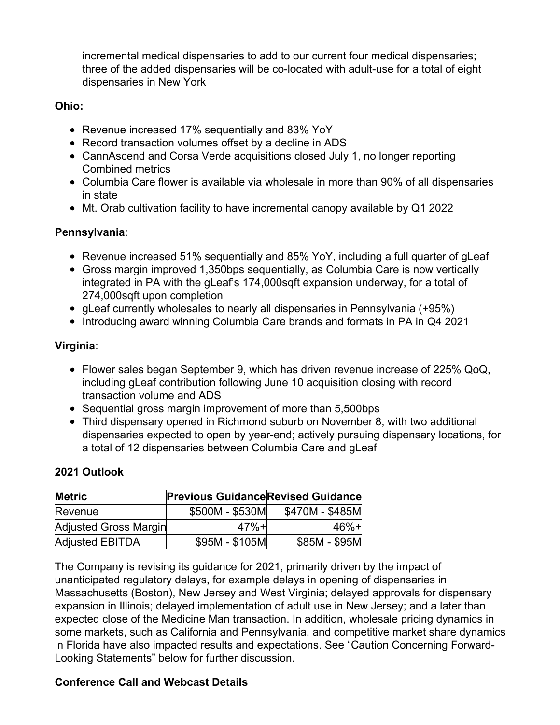incremental medical dispensaries to add to our current four medical dispensaries; three of the added dispensaries will be co-located with adult-use for a total of eight dispensaries in New York

#### **Ohio:**

- Revenue increased 17% sequentially and 83% YoY
- Record transaction volumes offset by a decline in ADS
- CannAscend and Corsa Verde acquisitions closed July 1, no longer reporting Combined metrics
- Columbia Care flower is available via wholesale in more than 90% of all dispensaries in state
- Mt. Orab cultivation facility to have incremental canopy available by Q1 2022

### **Pennsylvania**:

- Revenue increased 51% sequentially and 85% YoY, including a full quarter of gLeaf
- Gross margin improved 1,350bps sequentially, as Columbia Care is now vertically integrated in PA with the gLeaf's 174,000sqft expansion underway, for a total of 274,000sqft upon completion
- gLeaf currently wholesales to nearly all dispensaries in Pennsylvania (+95%)
- Introducing award winning Columbia Care brands and formats in PA in Q4 2021

# **Virginia**:

- Flower sales began September 9, which has driven revenue increase of 225% QoQ, including gLeaf contribution following June 10 acquisition closing with record transaction volume and ADS
- Sequential gross margin improvement of more than 5,500bps
- Third dispensary opened in Richmond suburb on November 8, with two additional dispensaries expected to open by year-end; actively pursuing dispensary locations, for a total of 12 dispensaries between Columbia Care and gLeaf

# **2021 Outlook**

| <b>Metric</b>                | <b>Previous Guidance Revised Guidance</b> |                 |
|------------------------------|-------------------------------------------|-----------------|
| Revenue                      | \$500M - \$530M                           | \$470M - \$485M |
| <b>Adjusted Gross Margin</b> | $47%+$                                    | 46%+            |
| <b>Adjusted EBITDA</b>       | \$95M - \$105M                            | \$85M - \$95M   |

The Company is revising its guidance for 2021, primarily driven by the impact of unanticipated regulatory delays, for example delays in opening of dispensaries in Massachusetts (Boston), New Jersey and West Virginia; delayed approvals for dispensary expansion in Illinois; delayed implementation of adult use in New Jersey; and a later than expected close of the Medicine Man transaction. In addition, wholesale pricing dynamics in some markets, such as California and Pennsylvania, and competitive market share dynamics in Florida have also impacted results and expectations. See "Caution Concerning Forward-Looking Statements" below for further discussion.

# **Conference Call and Webcast Details**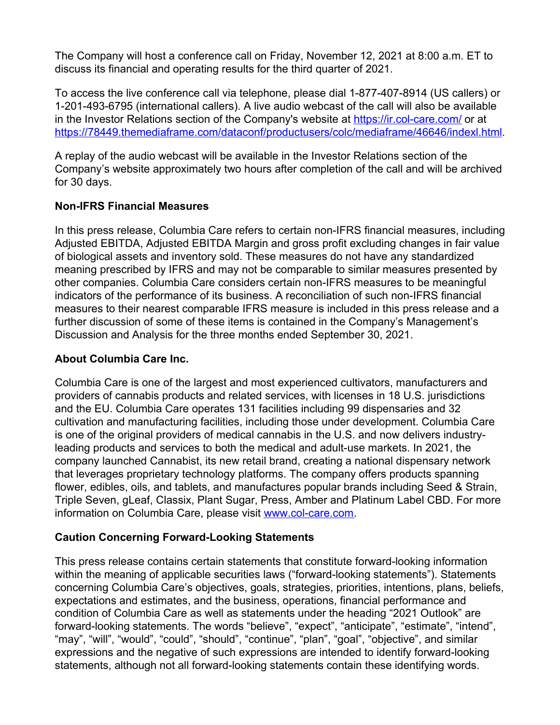The Company will host a conference call on Friday, November 12, 2021 at 8:00 a.m. ET to discuss its financial and operating results for the third quarter of 2021.

To access the live conference call via telephone, please dial 1-877-407-8914 (US callers) or 1-201-493-6795 (international callers). A live audio webcast of the call will also be available in the Investor Relations section of the Company's website at <https://ir.col-care.com/> or at <https://78449.themediaframe.com/dataconf/productusers/colc/mediaframe/46646/indexl.html>.

A replay of the audio webcast will be available in the Investor Relations section of the Company's website approximately two hours after completion of the call and will be archived for 30 days.

### **Non-IFRS Financial Measures**

In this press release, Columbia Care refers to certain non-IFRS financial measures, including Adjusted EBITDA, Adjusted EBITDA Margin and gross profit excluding changes in fair value of biological assets and inventory sold. These measures do not have any standardized meaning prescribed by IFRS and may not be comparable to similar measures presented by other companies. Columbia Care considers certain non-IFRS measures to be meaningful indicators of the performance of its business. A reconciliation of such non-IFRS financial measures to their nearest comparable IFRS measure is included in this press release and a further discussion of some of these items is contained in the Company's Management's Discussion and Analysis for the three months ended September 30, 2021.

#### **About Columbia Care Inc.**

Columbia Care is one of the largest and most experienced cultivators, manufacturers and providers of cannabis products and related services, with licenses in 18 U.S. jurisdictions and the EU. Columbia Care operates 131 facilities including 99 dispensaries and 32 cultivation and manufacturing facilities, including those under development. Columbia Care is one of the original providers of medical cannabis in the U.S. and now delivers industryleading products and services to both the medical and adult-use markets. In 2021, the company launched Cannabist, its new retail brand, creating a national dispensary network that leverages proprietary technology platforms. The company offers products spanning flower, edibles, oils, and tablets, and manufactures popular brands including Seed & Strain, Triple Seven, gLeaf, Classix, Plant Sugar, Press, Amber and Platinum Label CBD. For more information on Columbia Care, please visit [www.col-care.com](http://www.col-care.com).

#### **Caution Concerning Forward-Looking Statements**

This press release contains certain statements that constitute forward-looking information within the meaning of applicable securities laws ("forward-looking statements"). Statements concerning Columbia Care's objectives, goals, strategies, priorities, intentions, plans, beliefs, expectations and estimates, and the business, operations, financial performance and condition of Columbia Care as well as statements under the heading "2021 Outlook" are forward-looking statements. The words "believe", "expect", "anticipate", "estimate", "intend", "may", "will", "would", "could", "should", "continue", "plan", "goal", "objective", and similar expressions and the negative of such expressions are intended to identify forward-looking statements, although not all forward-looking statements contain these identifying words.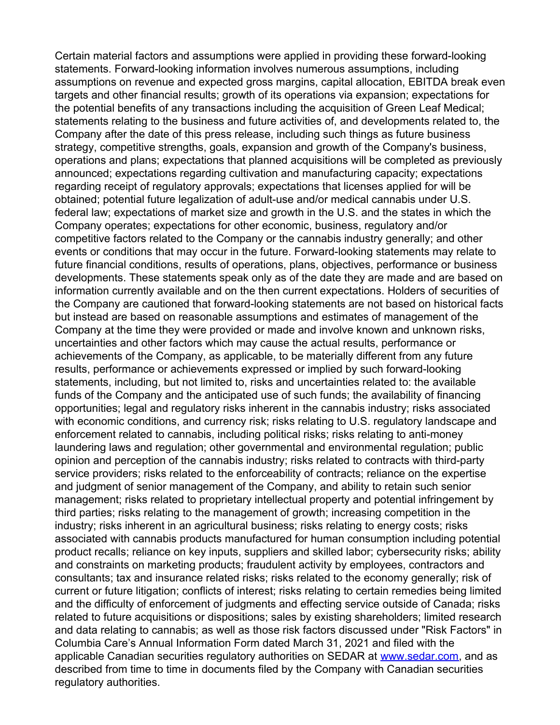Certain material factors and assumptions were applied in providing these forward-looking statements. Forward-looking information involves numerous assumptions, including assumptions on revenue and expected gross margins, capital allocation, EBITDA break even targets and other financial results; growth of its operations via expansion; expectations for the potential benefits of any transactions including the acquisition of Green Leaf Medical; statements relating to the business and future activities of, and developments related to, the Company after the date of this press release, including such things as future business strategy, competitive strengths, goals, expansion and growth of the Company's business, operations and plans; expectations that planned acquisitions will be completed as previously announced; expectations regarding cultivation and manufacturing capacity; expectations regarding receipt of regulatory approvals; expectations that licenses applied for will be obtained; potential future legalization of adult-use and/or medical cannabis under U.S. federal law; expectations of market size and growth in the U.S. and the states in which the Company operates; expectations for other economic, business, regulatory and/or competitive factors related to the Company or the cannabis industry generally; and other events or conditions that may occur in the future. Forward-looking statements may relate to future financial conditions, results of operations, plans, objectives, performance or business developments. These statements speak only as of the date they are made and are based on information currently available and on the then current expectations. Holders of securities of the Company are cautioned that forward-looking statements are not based on historical facts but instead are based on reasonable assumptions and estimates of management of the Company at the time they were provided or made and involve known and unknown risks, uncertainties and other factors which may cause the actual results, performance or achievements of the Company, as applicable, to be materially different from any future results, performance or achievements expressed or implied by such forward-looking statements, including, but not limited to, risks and uncertainties related to: the available funds of the Company and the anticipated use of such funds; the availability of financing opportunities; legal and regulatory risks inherent in the cannabis industry; risks associated with economic conditions, and currency risk; risks relating to U.S. regulatory landscape and enforcement related to cannabis, including political risks; risks relating to anti-money laundering laws and regulation; other governmental and environmental regulation; public opinion and perception of the cannabis industry; risks related to contracts with third-party service providers; risks related to the enforceability of contracts; reliance on the expertise and judgment of senior management of the Company, and ability to retain such senior management; risks related to proprietary intellectual property and potential infringement by third parties; risks relating to the management of growth; increasing competition in the industry; risks inherent in an agricultural business; risks relating to energy costs; risks associated with cannabis products manufactured for human consumption including potential product recalls; reliance on key inputs, suppliers and skilled labor; cybersecurity risks; ability and constraints on marketing products; fraudulent activity by employees, contractors and consultants; tax and insurance related risks; risks related to the economy generally; risk of current or future litigation; conflicts of interest; risks relating to certain remedies being limited and the difficulty of enforcement of judgments and effecting service outside of Canada; risks related to future acquisitions or dispositions; sales by existing shareholders; limited research and data relating to cannabis; as well as those risk factors discussed under "Risk Factors" in Columbia Care's Annual Information Form dated March 31, 2021 and filed with the applicable Canadian securities regulatory authorities on SEDAR at [www.sedar.com,](http://www.sedar.com) and as described from time to time in documents filed by the Company with Canadian securities regulatory authorities.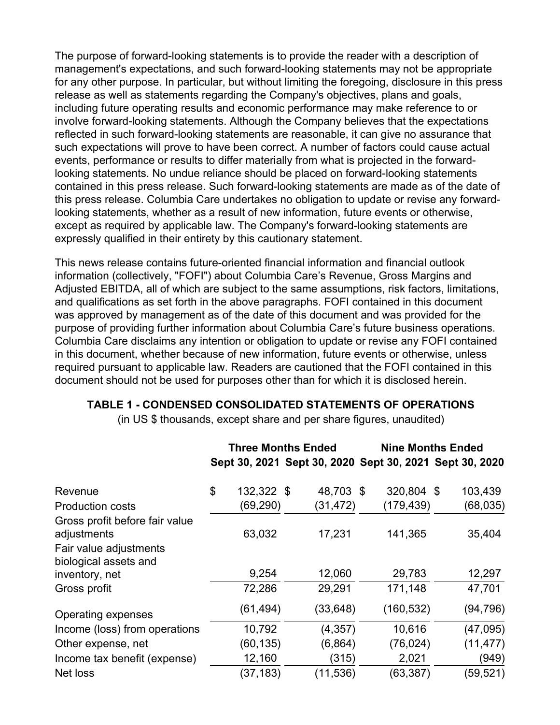The purpose of forward-looking statements is to provide the reader with a description of management's expectations, and such forward-looking statements may not be appropriate for any other purpose. In particular, but without limiting the foregoing, disclosure in this press release as well as statements regarding the Company's objectives, plans and goals, including future operating results and economic performance may make reference to or involve forward-looking statements. Although the Company believes that the expectations reflected in such forward-looking statements are reasonable, it can give no assurance that such expectations will prove to have been correct. A number of factors could cause actual events, performance or results to differ materially from what is projected in the forwardlooking statements. No undue reliance should be placed on forward-looking statements contained in this press release. Such forward-looking statements are made as of the date of this press release. Columbia Care undertakes no obligation to update or revise any forwardlooking statements, whether as a result of new information, future events or otherwise, except as required by applicable law. The Company's forward-looking statements are expressly qualified in their entirety by this cautionary statement.

This news release contains future-oriented financial information and financial outlook information (collectively, "FOFI") about Columbia Care's Revenue, Gross Margins and Adjusted EBITDA, all of which are subject to the same assumptions, risk factors, limitations, and qualifications as set forth in the above paragraphs. FOFI contained in this document was approved by management as of the date of this document and was provided for the purpose of providing further information about Columbia Care's future business operations. Columbia Care disclaims any intention or obligation to update or revise any FOFI contained in this document, whether because of new information, future events or otherwise, unless required pursuant to applicable law. Readers are cautioned that the FOFI contained in this document should not be used for purposes other than for which it is disclosed herein.

#### **TABLE 1 - CONDENSED CONSOLIDATED STATEMENTS OF OPERATIONS**

(in US \$ thousands, except share and per share figures, unaudited)

|                                                                         | <b>Three Months Ended</b> |           | <b>Nine Months Ended</b><br>Sept 30, 2021 Sept 30, 2020 Sept 30, 2021 Sept 30, 2020 |           |
|-------------------------------------------------------------------------|---------------------------|-----------|-------------------------------------------------------------------------------------|-----------|
| Revenue                                                                 | \$<br>132,322 \$          | 48,703 \$ | 320,804 \$                                                                          | 103,439   |
| <b>Production costs</b>                                                 | (69, 290)                 | (31, 472) | (179, 439)                                                                          | (68, 035) |
| Gross profit before fair value<br>adjustments<br>Fair value adjustments | 63,032                    | 17,231    | 141,365                                                                             | 35,404    |
| biological assets and<br>inventory, net                                 | 9,254                     | 12,060    | 29,783                                                                              | 12,297    |
| Gross profit                                                            | 72,286                    | 29,291    | 171,148                                                                             | 47,701    |
| Operating expenses                                                      | (61, 494)                 | (33, 648) | (160, 532)                                                                          | (94, 796) |
| Income (loss) from operations                                           | 10,792                    | (4, 357)  | 10,616                                                                              | (47,095)  |
| Other expense, net                                                      | (60, 135)                 | (6, 864)  | (76, 024)                                                                           | (11, 477) |
| Income tax benefit (expense)                                            | 12,160                    | (315)     | 2,021                                                                               | (949)     |
| Net loss                                                                | (37, 183)                 | (11, 536) | (63, 387)                                                                           | (59, 521) |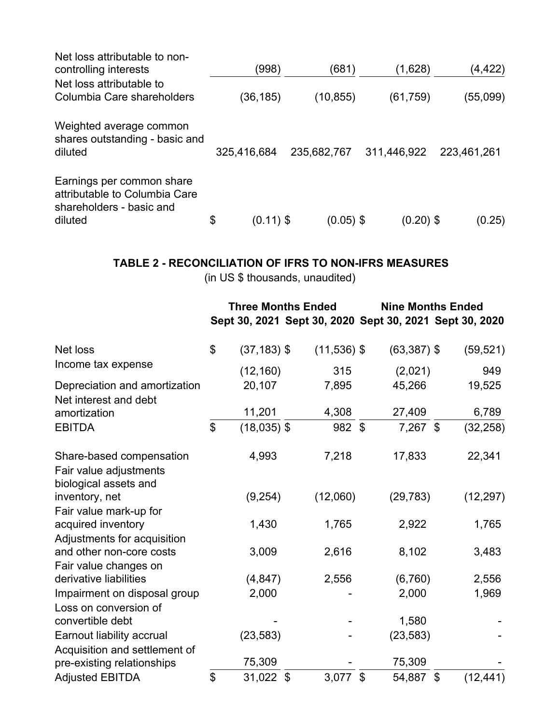| Net loss attributable to non-<br>controlling interests                                            | (998)             | (681)       | (1,628)     | (4, 422)    |
|---------------------------------------------------------------------------------------------------|-------------------|-------------|-------------|-------------|
| Net loss attributable to<br>Columbia Care shareholders                                            | (36, 185)         | (10, 855)   | (61, 759)   | (55,099)    |
| Weighted average common<br>shares outstanding - basic and<br>diluted                              | 325,416,684       | 235,682,767 | 311,446,922 | 223,461,261 |
| Earnings per common share<br>attributable to Columbia Care<br>shareholders - basic and<br>diluted | \$<br>$(0.11)$ \$ | $(0.05)$ \$ | (0.20) \$   | (0.25)      |

# **TABLE 2 - RECONCILIATION OF IFRS TO NON-IFRS MEASURES**

(in US \$ thousands, unaudited)

|                                                        | <b>Three Months Ended</b> |                |               | <b>Nine Months Ended</b> |                                                         |  |  |
|--------------------------------------------------------|---------------------------|----------------|---------------|--------------------------|---------------------------------------------------------|--|--|
|                                                        |                           |                |               |                          | Sept 30, 2021 Sept 30, 2020 Sept 30, 2021 Sept 30, 2020 |  |  |
| <b>Net loss</b>                                        | \$                        | $(37, 183)$ \$ | $(11,536)$ \$ | $(63, 387)$ \$           | (59, 521)                                               |  |  |
| Income tax expense                                     |                           |                |               |                          |                                                         |  |  |
|                                                        |                           | (12, 160)      | 315           | (2,021)                  | 949                                                     |  |  |
| Depreciation and amortization<br>Net interest and debt |                           | 20,107         | 7,895         | 45,266                   | 19,525                                                  |  |  |
| amortization                                           |                           | 11,201         | 4,308         | 27,409                   | 6,789                                                   |  |  |
| <b>EBITDA</b>                                          | $\mathfrak{S}$            | $(18,035)$ \$  | 982 \$        | 7,267 \$                 | (32, 258)                                               |  |  |
| Share-based compensation                               |                           | 4,993          | 7,218         | 17,833                   | 22,341                                                  |  |  |
| Fair value adjustments<br>biological assets and        |                           |                |               |                          |                                                         |  |  |
| inventory, net                                         |                           | (9,254)        | (12,060)      | (29, 783)                | (12, 297)                                               |  |  |
| Fair value mark-up for                                 |                           |                |               |                          |                                                         |  |  |
| acquired inventory                                     |                           | 1,430          | 1,765         | 2,922                    | 1,765                                                   |  |  |
| Adjustments for acquisition                            |                           |                |               |                          |                                                         |  |  |
| and other non-core costs                               |                           | 3,009          | 2,616         | 8,102                    | 3,483                                                   |  |  |
| Fair value changes on                                  |                           |                |               |                          |                                                         |  |  |
| derivative liabilities                                 |                           | (4, 847)       | 2,556         | (6,760)                  | 2,556                                                   |  |  |
| Impairment on disposal group                           |                           | 2,000          |               | 2,000                    | 1,969                                                   |  |  |
| Loss on conversion of                                  |                           |                |               |                          |                                                         |  |  |
| convertible debt                                       |                           |                |               | 1,580                    |                                                         |  |  |
| Earnout liability accrual                              |                           | (23, 583)      |               | (23, 583)                |                                                         |  |  |
| Acquisition and settlement of                          |                           |                |               |                          |                                                         |  |  |
| pre-existing relationships                             |                           | 75,309         |               | 75,309                   |                                                         |  |  |
| <b>Adjusted EBITDA</b>                                 | \$                        | 31,022 \$      | 3,077 \$      | 54,887                   | (12, 441)<br>\$                                         |  |  |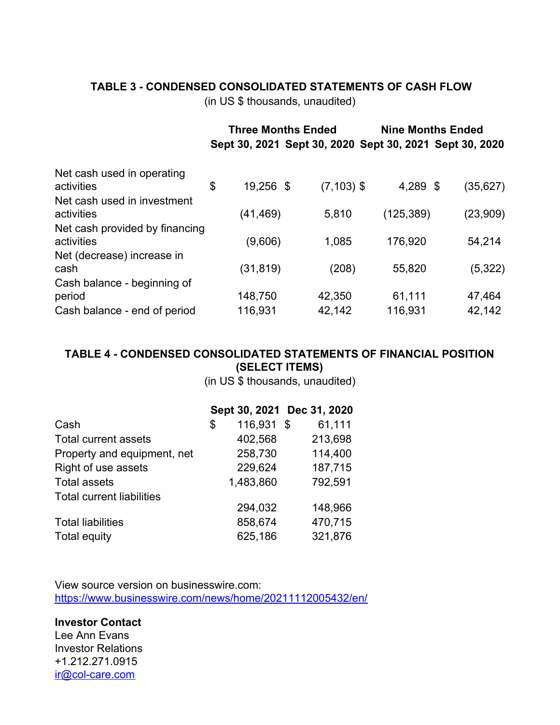### **TABLE 3 - CONDENSED CONSOLIDATED STATEMENTS OF CASH FLOW**

(in US \$ thousands, unaudited)

|                    |                  | <b>Nine Months Ended</b>                                                    |                                                                                      |  |
|--------------------|------------------|-----------------------------------------------------------------------------|--------------------------------------------------------------------------------------|--|
|                    |                  |                                                                             |                                                                                      |  |
|                    |                  |                                                                             | (35, 627)                                                                            |  |
|                    | 5,810            | (125, 389)                                                                  | (23,909)                                                                             |  |
|                    | 1,085            | 176,920                                                                     | 54,214                                                                               |  |
|                    | (208)            | 55,820                                                                      | (5,322)                                                                              |  |
| 148,750<br>116,931 | 42,350<br>42,142 | 61,111<br>116,931                                                           | 47,464<br>42,142                                                                     |  |
|                    | \$               | <b>Three Months Ended</b><br>19,256 \$<br>(41, 469)<br>(9,606)<br>(31, 819) | Sept 30, 2021 Sept 30, 2020 Sept 30, 2021 Sept 30, 2020<br>$(7, 103)$ \$<br>4,289 \$ |  |

#### **TABLE 4 - CONDENSED CONSOLIDATED STATEMENTS OF FINANCIAL POSITION (SELECT ITEMS)**

(in US \$ thousands, unaudited)

|                                  | Sept 30, 2021 Dec 31, 2020 |      |         |
|----------------------------------|----------------------------|------|---------|
| Cash                             | \$<br>116,931              | - \$ | 61,111  |
| <b>Total current assets</b>      | 402,568                    |      | 213,698 |
| Property and equipment, net      | 258,730                    |      | 114,400 |
| Right of use assets              | 229,624                    |      | 187,715 |
| <b>Total assets</b>              | 1,483,860                  |      | 792,591 |
| <b>Total current liabilities</b> |                            |      |         |
|                                  | 294,032                    |      | 148,966 |
| <b>Total liabilities</b>         | 858,674                    |      | 470,715 |
| <b>Total equity</b>              | 625,186                    |      | 321,876 |

View source version on businesswire.com: <https://www.businesswire.com/news/home/20211112005432/en/>

**Investor Contact** Lee Ann Evans Investor Relations +1.212.271.0915 [ir@col-care.com](mailto:ir@col-care.com)